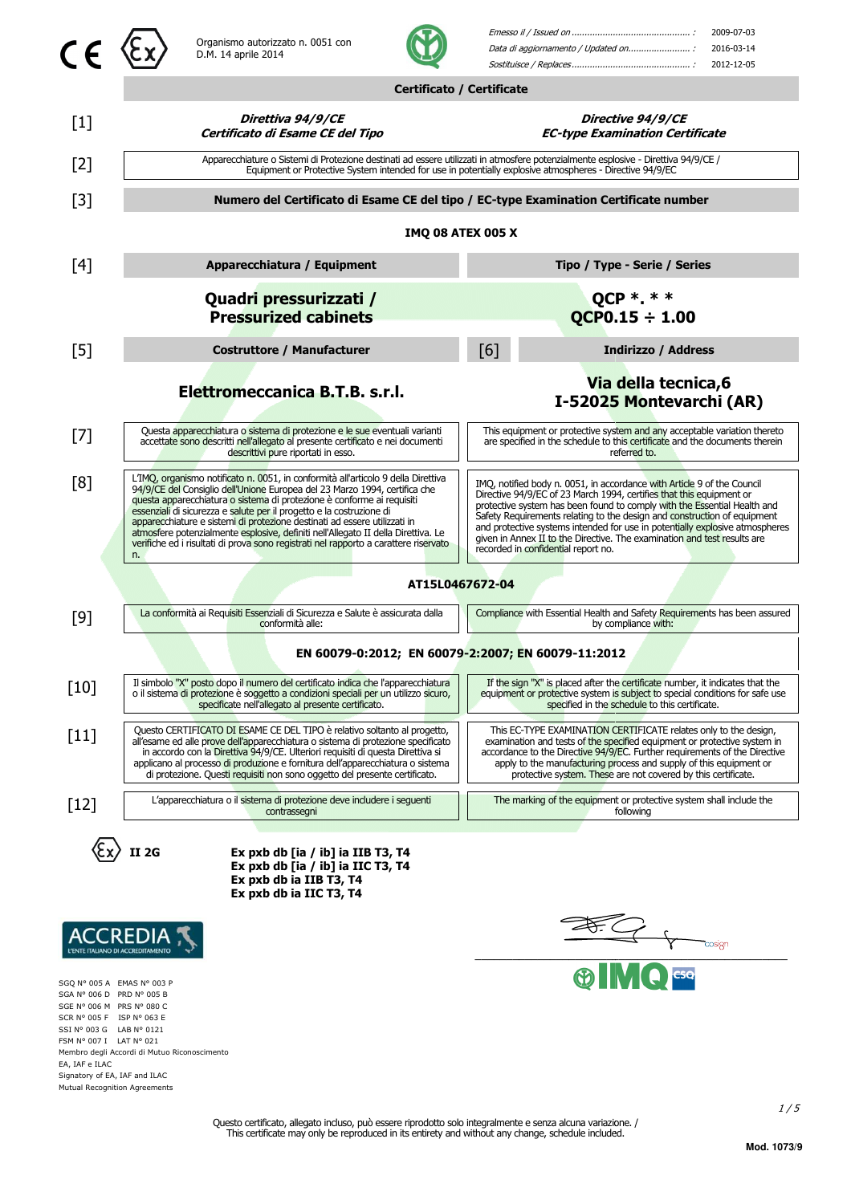

 $\epsilon$ 





**Certificato / Certificate** 



Questo certificato, allegato incluso, può essere riprodotto solo integralmente e senza alcuna variazione. / / This certificate may only be reproduced in its entirety and without any change, schedule included.

 $1/5$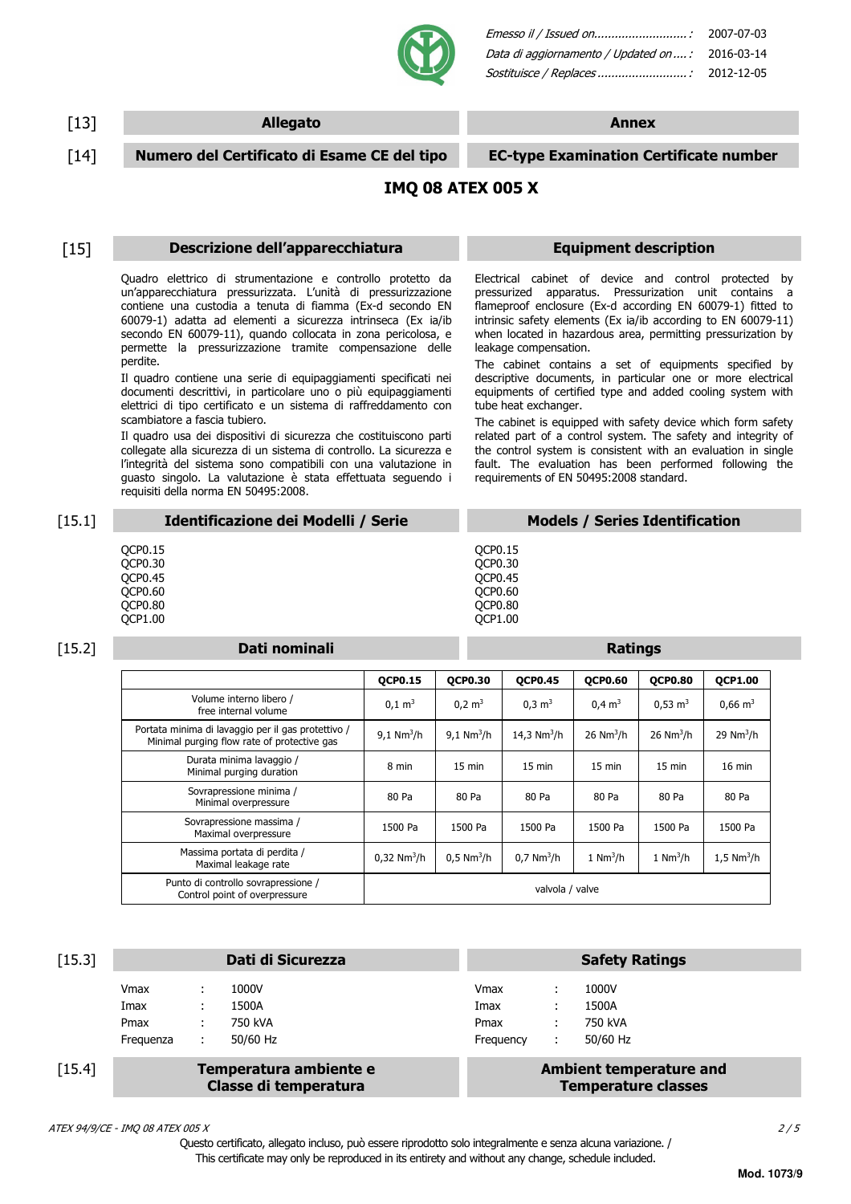

| Data di aggiornamento / Updated on  : 2016-03-14 |  |
|--------------------------------------------------|--|
| <i>Sostituisce / Replaces </i> 2012-12-05        |  |

# [13] **Allegato Annex**

[14] **Numero del Certificato di Esame CE del tipo EC-type Examination Certificate number** 

# **IMQ 08 ATEX 005 X**

### [15] **Descrizione dell'apparecchiatura Equipment description**

Quadro elettrico di strumentazione e controllo protetto da un'apparecchiatura pressurizzata. L'unità di pressurizzazione contiene una custodia a tenuta di fiamma (Ex-d secondo EN 60079-1) adatta ad elementi a sicurezza intrinseca (Ex ia/ib secondo EN 60079-11), quando collocata in zona pericolosa, e permette la pressurizzazione tramite compensazione delle perdite.

Il quadro contiene una serie di equipaggiamenti specificati nei documenti descrittivi, in particolare uno o più equipaggiamenti elettrici di tipo certificato e un sistema di raffreddamento con scambiatore a fascia tubiero.

Il quadro usa dei dispositivi di sicurezza che costituiscono parti collegate alla sicurezza di un sistema di controllo. La sicurezza e l'integrità del sistema sono compatibili con una valutazione in guasto singolo. La valutazione è stata effettuata seguendo i requisiti della norma EN 50495:2008.

Electrical cabinet of device and control protected by pressurized apparatus. Pressurization unit contains a flameproof enclosure (Ex-d according EN 60079-1) fitted to intrinsic safety elements (Ex ia/ib according to EN 60079-11) when located in hazardous area, permitting pressurization by leakage compensation.

The cabinet contains a set of equipments specified by descriptive documents, in particular one or more electrical equipments of certified type and added cooling system with tube heat exchanger.

The cabinet is equipped with safety device which form safety related part of a control system. The safety and integrity of the control system is consistent with an evaluation in single fault. The evaluation has been performed following the requirements of EN 50495:2008 standard.

| [15.1] | Identificazione dei Modelli / Serie | <b>Models / Series Identification</b> |
|--------|-------------------------------------|---------------------------------------|
|        | <b>OCP0.15</b>                      | <b>OCP0.15</b>                        |
|        | QCP0.30                             | <b>OCP0.30</b>                        |
|        | OCP0.45                             | <b>OCP0.45</b>                        |
|        | <b>OCP0.60</b>                      | <b>OCP0.60</b>                        |
|        | QCP0.80                             | QCP0.80                               |
|        | OCP1.00                             | <b>OCP1.00</b>                        |
|        |                                     |                                       |

# [15.2] **Dati nominali Ratings**

|                                                                                                   | <b>QCP0.15</b>            | <b>QCP0.30</b>       | <b>QCP0.45</b>           | <b>QCP0.60</b>          | <b>QCP0.80</b>          | <b>QCP1.00</b>           |
|---------------------------------------------------------------------------------------------------|---------------------------|----------------------|--------------------------|-------------------------|-------------------------|--------------------------|
| Volume interno libero /<br>free internal volume                                                   | $0.1 \text{ m}^3$         | $0.2 \text{ m}^3$    | $0.3 \text{ m}^3$        | $0.4 \text{ m}^3$       | $0,53 \text{ m}^3$      | $0,66 \text{ m}^3$       |
| Portata minima di lavaggio per il gas protettivo /<br>Minimal purging flow rate of protective gas | 9,1 $Nm^3/h$              | 9.1 $Nm^3/h$         | 14.3 $Nm^3/h$            | $26$ Nm <sup>3</sup> /h | $26$ Nm <sup>3</sup> /h | 29 $Nm^3/h$              |
| Durata minima lavaggio /<br>Minimal purging duration                                              | 8 min                     | $15 \text{ min}$     | $15$ min                 | $15 \text{ min}$        | 15 min                  | $16$ min                 |
| Sovrapressione minima /<br>Minimal overpressure                                                   | 80 Pa                     | 80 Pa                | 80 Pa                    | 80 Pa                   | 80 Pa                   | 80 Pa                    |
| Sovrapressione massima /<br>Maximal overpressure                                                  | 1500 Pa                   | 1500 Pa              | 1500 Pa                  | 1500 Pa                 | 1500 Pa                 | 1500 Pa                  |
| Massima portata di perdita /<br>Maximal leakage rate                                              | $0,32$ Nm <sup>3</sup> /h | $0.5 \text{ Nm}^3/h$ | $0.7$ Nm <sup>3</sup> /h | $1 \text{ Nm}^3/h$      | $1 \text{ Nm}^3/h$      | $1,5$ Nm <sup>3</sup> /h |
| Punto di controllo sovrapressione /<br>Control point of overpressure                              | valvola / valve           |                      |                          |                         |                         |                          |

| [15.3] |           |               | Dati di Sicurezza                               |  | <b>Safety Ratings</b> |               |                                                              |  |
|--------|-----------|---------------|-------------------------------------------------|--|-----------------------|---------------|--------------------------------------------------------------|--|
|        | Vmax      | ÷             | 1000V                                           |  | Vmax                  | ÷             | 1000V                                                        |  |
|        | Imax      |               | 1500A                                           |  | Imax                  |               | 1500A                                                        |  |
|        | Pmax      | ÷             | 750 kVA                                         |  | Pmax                  | ÷             | 750 kVA                                                      |  |
|        | Frequenza | $\mathcal{L}$ | 50/60 Hz                                        |  | Frequency             | $\mathcal{L}$ | 50/60 Hz                                                     |  |
| [15.4] |           |               | Temperatura ambiente e<br>Classe di temperatura |  |                       |               | <b>Ambient temperature and</b><br><b>Temperature classes</b> |  |

ATEX 94/9/CE - IMQ 08 ATEX 005 X 2 / 5

Questo certificato, allegato incluso, può essere riprodotto solo integralmente e senza alcuna variazione. / This certificate may only be reproduced in its entirety and without any change, schedule included.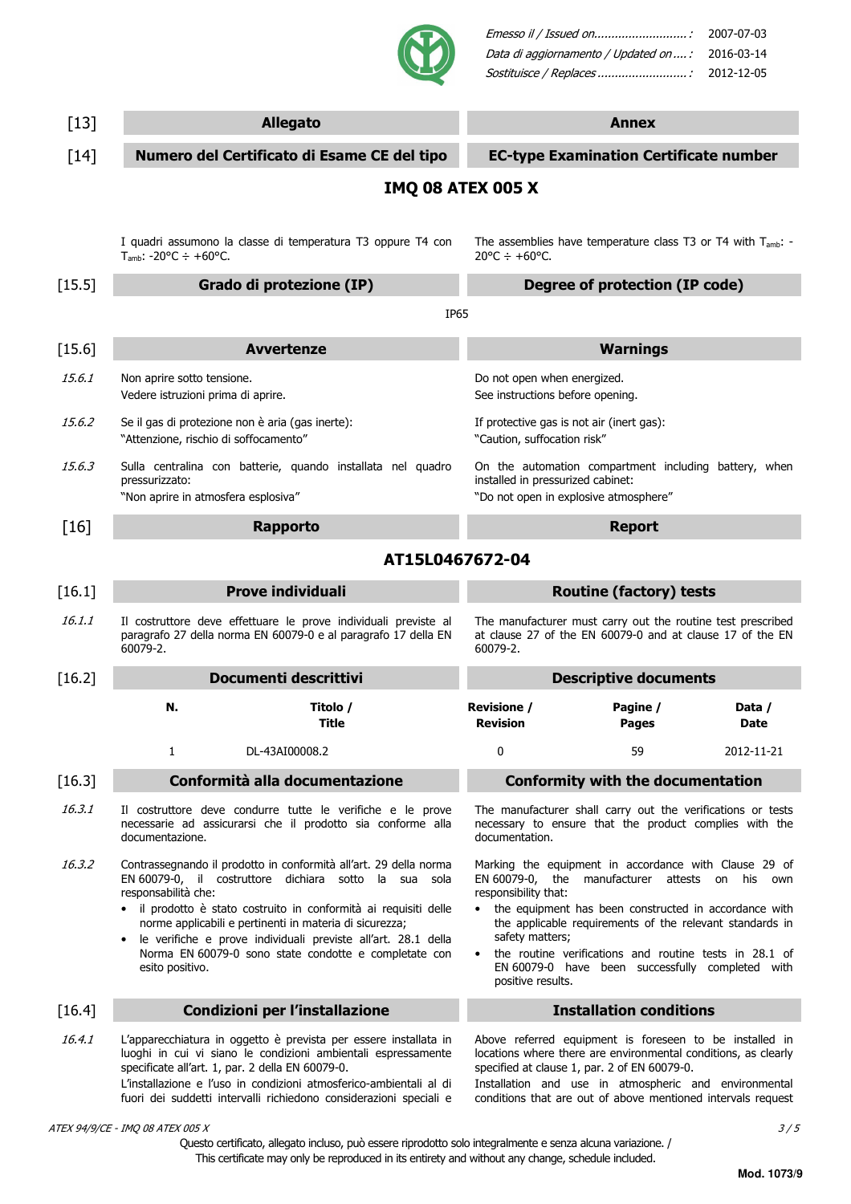

| Data di aggiornamento / Updated on  : 2016-03-14 |  |
|--------------------------------------------------|--|
| <i>Sostituisce / Replaces </i> 2012-12-05        |  |

| $[13]$   | <b>Allegato</b>                                                  |                                                                                                                                                                                                                                                                                                                                                                                   | <b>Annex</b>                                                                    |                                                                                                                                                                                                                                                                                                                       |                |  |
|----------|------------------------------------------------------------------|-----------------------------------------------------------------------------------------------------------------------------------------------------------------------------------------------------------------------------------------------------------------------------------------------------------------------------------------------------------------------------------|---------------------------------------------------------------------------------|-----------------------------------------------------------------------------------------------------------------------------------------------------------------------------------------------------------------------------------------------------------------------------------------------------------------------|----------------|--|
| $[14]$   |                                                                  | Numero del Certificato di Esame CE del tipo                                                                                                                                                                                                                                                                                                                                       | <b>EC-type Examination Certificate number</b>                                   |                                                                                                                                                                                                                                                                                                                       |                |  |
|          |                                                                  |                                                                                                                                                                                                                                                                                                                                                                                   | <b>IMQ 08 ATEX 005 X</b>                                                        |                                                                                                                                                                                                                                                                                                                       |                |  |
|          | T <sub>amb</sub> : -20°C $\div$ +60°C.                           | I quadri assumono la classe di temperatura T3 oppure T4 con                                                                                                                                                                                                                                                                                                                       | $20^{\circ}$ C ÷ +60 $^{\circ}$ C.                                              | The assemblies have temperature class T3 or T4 with $T_{amb}$ : -                                                                                                                                                                                                                                                     |                |  |
| $[15.5]$ |                                                                  | Grado di protezione (IP)                                                                                                                                                                                                                                                                                                                                                          |                                                                                 | Degree of protection (IP code)                                                                                                                                                                                                                                                                                        |                |  |
|          |                                                                  | <b>IP65</b>                                                                                                                                                                                                                                                                                                                                                                       |                                                                                 |                                                                                                                                                                                                                                                                                                                       |                |  |
| $[15.6]$ |                                                                  | <b>Avvertenze</b>                                                                                                                                                                                                                                                                                                                                                                 |                                                                                 | <b>Warnings</b>                                                                                                                                                                                                                                                                                                       |                |  |
| 15.6.1   | Non aprire sotto tensione.<br>Vedere istruzioni prima di aprire. |                                                                                                                                                                                                                                                                                                                                                                                   | Do not open when energized.<br>See instructions before opening.                 |                                                                                                                                                                                                                                                                                                                       |                |  |
| 15.6.2   | "Attenzione, rischio di soffocamento"                            | Se il gas di protezione non è aria (gas inerte):                                                                                                                                                                                                                                                                                                                                  | If protective gas is not air (inert gas):<br>"Caution, suffocation risk"        |                                                                                                                                                                                                                                                                                                                       |                |  |
| 15.6.3   | pressurizzato:<br>"Non aprire in atmosfera esplosiva"            | Sulla centralina con batterie, quando installata nel quadro                                                                                                                                                                                                                                                                                                                       | installed in pressurized cabinet:<br>"Do not open in explosive atmosphere"      | On the automation compartment including battery, when                                                                                                                                                                                                                                                                 |                |  |
| $[16]$   |                                                                  | <b>Rapporto</b>                                                                                                                                                                                                                                                                                                                                                                   |                                                                                 | <b>Report</b>                                                                                                                                                                                                                                                                                                         |                |  |
|          |                                                                  | AT15L0467672-04                                                                                                                                                                                                                                                                                                                                                                   |                                                                                 |                                                                                                                                                                                                                                                                                                                       |                |  |
| $[16.1]$ |                                                                  | <b>Prove individuali</b>                                                                                                                                                                                                                                                                                                                                                          |                                                                                 | <b>Routine (factory) tests</b>                                                                                                                                                                                                                                                                                        |                |  |
| 16.1.1   | 60079-2.                                                         | Il costruttore deve effettuare le prove individuali previste al<br>paragrafo 27 della norma EN 60079-0 e al paragrafo 17 della EN                                                                                                                                                                                                                                                 | 60079-2.                                                                        | The manufacturer must carry out the routine test prescribed<br>at clause 27 of the EN 60079-0 and at clause 17 of the EN                                                                                                                                                                                              |                |  |
| $[16.2]$ |                                                                  | Documenti descrittivi                                                                                                                                                                                                                                                                                                                                                             |                                                                                 | <b>Descriptive documents</b>                                                                                                                                                                                                                                                                                          |                |  |
|          | N.                                                               | Titolo /<br><b>Title</b>                                                                                                                                                                                                                                                                                                                                                          | <b>Revisione /</b><br><b>Revision</b>                                           | Pagine /<br>Pages                                                                                                                                                                                                                                                                                                     | Data /<br>Date |  |
|          |                                                                  | DL-43AI00008.2                                                                                                                                                                                                                                                                                                                                                                    |                                                                                 | 59                                                                                                                                                                                                                                                                                                                    | 2012-11-21     |  |
| $[16.3]$ |                                                                  | Conformità alla documentazione                                                                                                                                                                                                                                                                                                                                                    |                                                                                 | <b>Conformity with the documentation</b>                                                                                                                                                                                                                                                                              |                |  |
| 16.3.1   | documentazione.                                                  | Il costruttore deve condurre tutte le verifiche e le prove<br>necessarie ad assicurarsi che il prodotto sia conforme alla                                                                                                                                                                                                                                                         | documentation.                                                                  | The manufacturer shall carry out the verifications or tests<br>necessary to ensure that the product complies with the                                                                                                                                                                                                 |                |  |
| 16.3.2   | responsabilità che:<br>esito positivo.                           | Contrassegnando il prodotto in conformità all'art. 29 della norma<br>EN 60079-0, il costruttore dichiara sotto la sua sola<br>il prodotto è stato costruito in conformità ai requisiti delle<br>norme applicabili e pertinenti in materia di sicurezza;<br>le verifiche e prove individuali previste all'art. 28.1 della<br>Norma EN 60079-0 sono state condotte e completate con | EN 60079-0, the<br>responsibility that:<br>safety matters;<br>positive results. | Marking the equipment in accordance with Clause 29 of<br>manufacturer<br>attests<br>• the equipment has been constructed in accordance with<br>the applicable requirements of the relevant standards in<br>the routine verifications and routine tests in 28.1 of<br>EN 60079-0 have been successfully completed with | on his<br>own  |  |
| $[16.4]$ |                                                                  | Condizioni per l'installazione                                                                                                                                                                                                                                                                                                                                                    |                                                                                 | <b>Installation conditions</b>                                                                                                                                                                                                                                                                                        |                |  |
| 16.4.1   |                                                                  | L'apparecchiatura in oggetto è prevista per essere installata in<br>luoghi in cui vi siano le condizioni ambientali espressamente<br>specificate all'art. 1, par. 2 della EN 60079-0.<br>L'installazione e l'uso in condizioni atmosferico-ambientali al di<br>fuori dei suddetti intervalli richiedono considerazioni speciali e                                                 |                                                                                 | Above referred equipment is foreseen to be installed in<br>locations where there are environmental conditions, as clearly<br>specified at clause 1, par. 2 of EN 60079-0.<br>Installation and use in atmospheric and environmental<br>conditions that are out of above mentioned intervals request                    |                |  |

ATEX 94/9/CE - IMQ 08 ATEX 005 X 3 / 5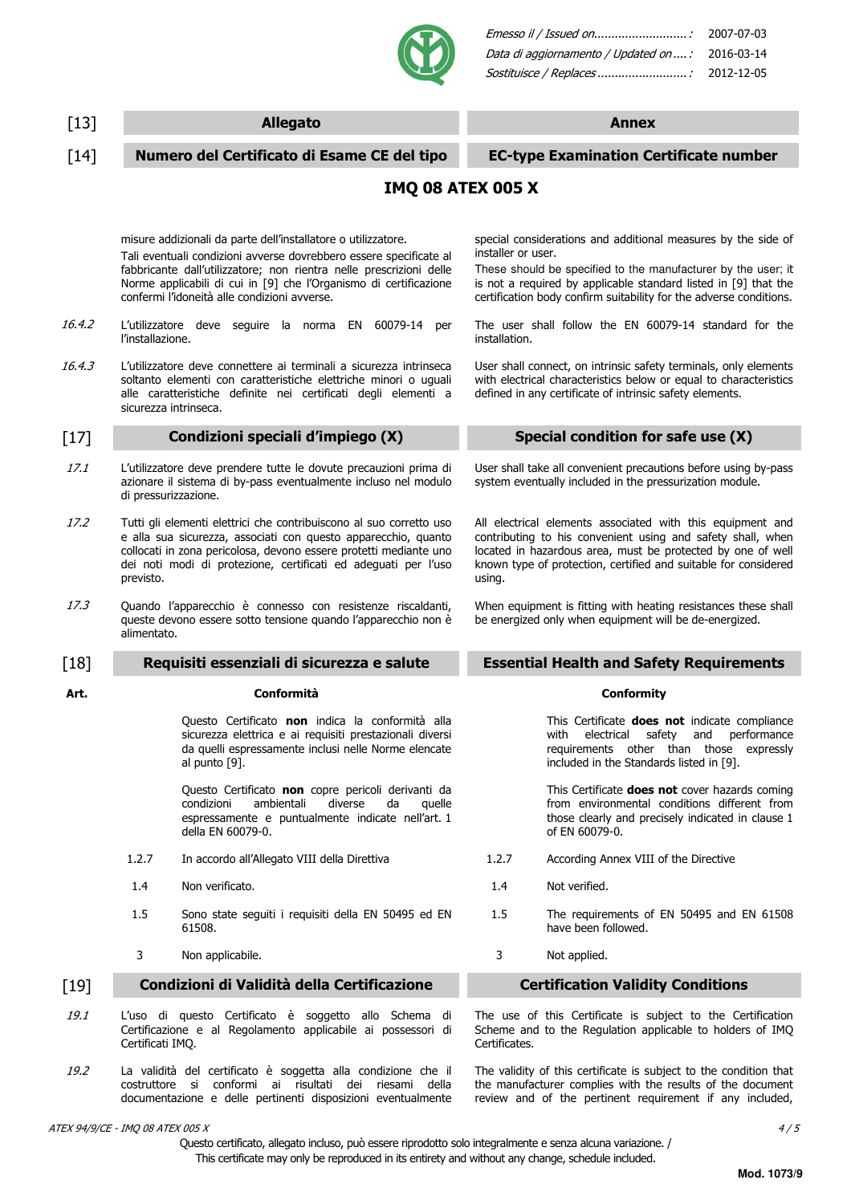

| Data di aggiornamento / Updated on  : 2016-03-14 |  |
|--------------------------------------------------|--|
|                                                  |  |

| $[13]$ |                          | <b>Allegato</b>                                                                                                                                                                                                                                                                                                                 |                                                                                                                                                                                                                                                                       | <b>Annex</b>                                                                                                                                                                                                                                                            |  |
|--------|--------------------------|---------------------------------------------------------------------------------------------------------------------------------------------------------------------------------------------------------------------------------------------------------------------------------------------------------------------------------|-----------------------------------------------------------------------------------------------------------------------------------------------------------------------------------------------------------------------------------------------------------------------|-------------------------------------------------------------------------------------------------------------------------------------------------------------------------------------------------------------------------------------------------------------------------|--|
| $[14]$ |                          | Numero del Certificato di Esame CE del tipo                                                                                                                                                                                                                                                                                     | <b>EC-type Examination Certificate number</b>                                                                                                                                                                                                                         |                                                                                                                                                                                                                                                                         |  |
|        | <b>IMQ 08 ATEX 005 X</b> |                                                                                                                                                                                                                                                                                                                                 |                                                                                                                                                                                                                                                                       |                                                                                                                                                                                                                                                                         |  |
|        |                          |                                                                                                                                                                                                                                                                                                                                 |                                                                                                                                                                                                                                                                       |                                                                                                                                                                                                                                                                         |  |
|        |                          | misure addizionali da parte dell'installatore o utilizzatore.<br>Tali eventuali condizioni avverse dovrebbero essere specificate al<br>fabbricante dall'utilizzatore; non rientra nelle prescrizioni delle<br>Norme applicabili di cui in [9] che l'Organismo di certificazione<br>confermi l'idoneità alle condizioni avverse. | installer or user.                                                                                                                                                                                                                                                    | special considerations and additional measures by the side of<br>These should be specified to the manufacturer by the user; it<br>is not a required by applicable standard listed in [9] that the<br>certification body confirm suitability for the adverse conditions. |  |
| 16.4.2 | l'installazione.         | L'utilizzatore deve seguire la norma EN 60079-14<br>per                                                                                                                                                                                                                                                                         | installation.                                                                                                                                                                                                                                                         | The user shall follow the EN 60079-14 standard for the                                                                                                                                                                                                                  |  |
| 16.4.3 |                          | L'utilizzatore deve connettere ai terminali a sicurezza intrinseca<br>soltanto elementi con caratteristiche elettriche minori o uguali<br>alle caratteristiche definite nei certificati degli elementi a<br>sicurezza intrinseca.                                                                                               |                                                                                                                                                                                                                                                                       | User shall connect, on intrinsic safety terminals, only elements<br>with electrical characteristics below or equal to characteristics<br>defined in any certificate of intrinsic safety elements.                                                                       |  |
| $[17]$ |                          | Condizioni speciali d'impiego (X)                                                                                                                                                                                                                                                                                               |                                                                                                                                                                                                                                                                       | Special condition for safe use (X)                                                                                                                                                                                                                                      |  |
| 17.1   |                          | L'utilizzatore deve prendere tutte le dovute precauzioni prima di<br>azionare il sistema di by-pass eventualmente incluso nel modulo<br>di pressurizzazione.                                                                                                                                                                    | User shall take all convenient precautions before using by-pass<br>system eventually included in the pressurization module.                                                                                                                                           |                                                                                                                                                                                                                                                                         |  |
| 17.2   | previsto.                | Tutti gli elementi elettrici che contribuiscono al suo corretto uso<br>e alla sua sicurezza, associati con questo apparecchio, quanto<br>collocati in zona pericolosa, devono essere protetti mediante uno<br>dei noti modi di protezione, certificati ed adeguati per l'uso                                                    | All electrical elements associated with this equipment and<br>contributing to his convenient using and safety shall, when<br>located in hazardous area, must be protected by one of well<br>known type of protection, certified and suitable for considered<br>using. |                                                                                                                                                                                                                                                                         |  |
| 17.3   | alimentato.              | Quando l'apparecchio è connesso con resistenze riscaldanti,<br>queste devono essere sotto tensione quando l'apparecchio non è                                                                                                                                                                                                   | When equipment is fitting with heating resistances these shall<br>be energized only when equipment will be de-energized.                                                                                                                                              |                                                                                                                                                                                                                                                                         |  |
| $[18]$ |                          | Requisiti essenziali di sicurezza e salute                                                                                                                                                                                                                                                                                      | <b>Essential Health and Safety Requirements</b>                                                                                                                                                                                                                       |                                                                                                                                                                                                                                                                         |  |
| Art.   |                          | Conformità                                                                                                                                                                                                                                                                                                                      |                                                                                                                                                                                                                                                                       | <b>Conformity</b>                                                                                                                                                                                                                                                       |  |
|        |                          | Questo Certificato non indica la conformità alla<br>sicurezza elettrica e ai requisiti prestazionali diversi<br>da quelli espressamente inclusi nelle Norme elencate<br>al punto [9].                                                                                                                                           |                                                                                                                                                                                                                                                                       | This Certificate <b>does not</b> indicate compliance<br>performance<br>with<br>electrical<br>safety<br>and<br>requirements other than those expressly<br>included in the Standards listed in [9].                                                                       |  |
|        |                          | Questo Certificato non copre pericoli derivanti da<br>ambientali<br>diverse<br>da<br>condizioni<br>quelle<br>espressamente e puntualmente indicate nell'art. 1<br>della EN 60079-0.                                                                                                                                             |                                                                                                                                                                                                                                                                       | This Certificate <b>does not</b> cover hazards coming<br>from environmental conditions different from<br>those clearly and precisely indicated in clause 1<br>of EN 60079-0.                                                                                            |  |
|        | 1.2.7                    | In accordo all'Allegato VIII della Direttiva                                                                                                                                                                                                                                                                                    | 1.2.7                                                                                                                                                                                                                                                                 | According Annex VIII of the Directive                                                                                                                                                                                                                                   |  |
|        | 1.4                      | Non verificato.                                                                                                                                                                                                                                                                                                                 | 1.4                                                                                                                                                                                                                                                                   | Not verified.                                                                                                                                                                                                                                                           |  |
|        | 1.5                      | Sono state seguiti i reguisiti della EN 50495 ed EN<br>61508.                                                                                                                                                                                                                                                                   | 1.5                                                                                                                                                                                                                                                                   | The requirements of EN 50495 and EN 61508<br>have been followed.                                                                                                                                                                                                        |  |
|        | 3                        | Non applicabile.                                                                                                                                                                                                                                                                                                                | 3                                                                                                                                                                                                                                                                     | Not applied.                                                                                                                                                                                                                                                            |  |
| $[19]$ |                          | Condizioni di Validità della Certificazione                                                                                                                                                                                                                                                                                     |                                                                                                                                                                                                                                                                       | <b>Certification Validity Conditions</b>                                                                                                                                                                                                                                |  |
| 19.1   |                          | L'uso di questo Certificato è soggetto allo Schema di<br>Certificazione e al Regolamento applicabile ai possessori di                                                                                                                                                                                                           |                                                                                                                                                                                                                                                                       | The use of this Certificate is subject to the Certification<br>Scheme and to the Regulation applicable to holders of IMQ                                                                                                                                                |  |

- e al Regolamento applicabile ai possessori di Certificati IMQ.
- 19.2 La validità del certificato è soggetta alla condizione che il costruttore si conformi ai risultati dei riesami della documentazione e delle pertinenti disposizioni eventualmente

ATEX 94/9/CE - IMQ 08 ATEX 005 X 4/5

Questo certificato, allegato incluso, può essere riprodotto solo integralmente e senza alcuna variazione. / This certificate may only be reproduced in its entirety and without any change, schedule included.

Certificates.

The validity of this certificate is subject to the condition that the manufacturer complies with the results of the document review and of the pertinent requirement if any included,